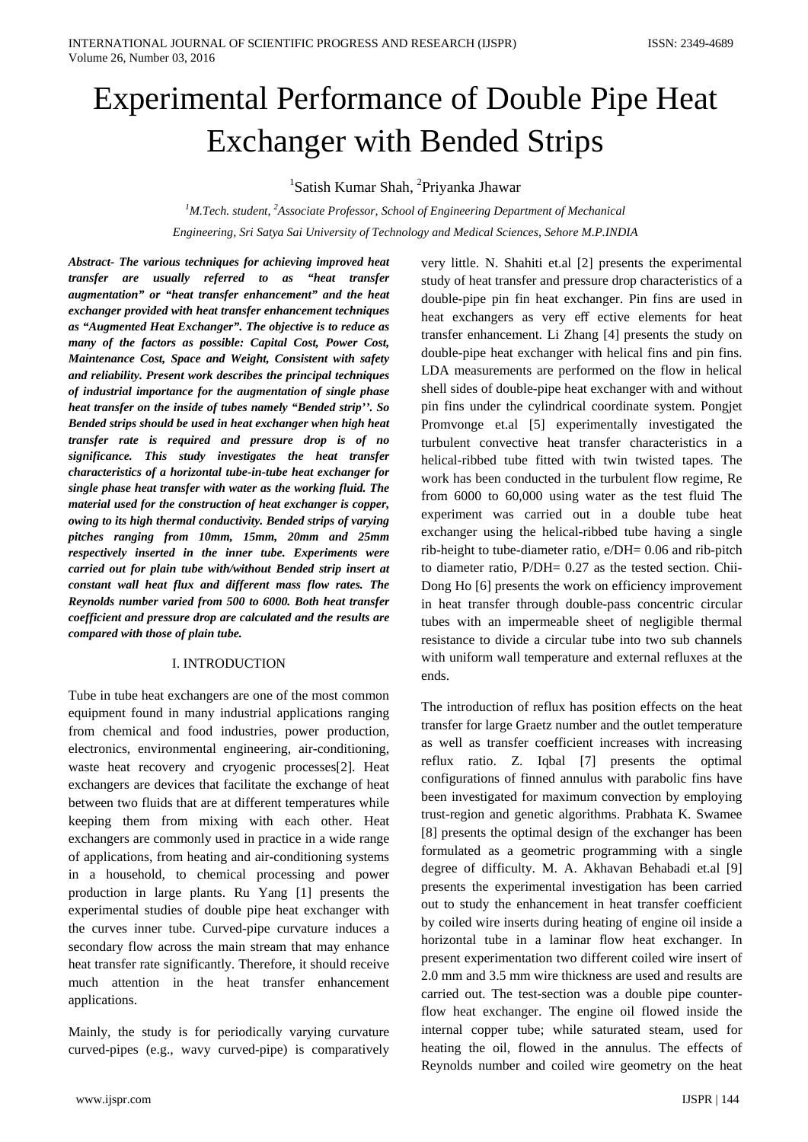# Experimental Performance of Double Pipe Heat Exchanger with Bended Strips

<sup>1</sup>Satish Kumar Shah, <sup>2</sup>Priyanka Jhawar

<sup>1</sup>M.Tech. student, <sup>2</sup>Associate Professor, School of Engineering Department of Mechanical *Engineering, Sri Satya Sai University of Technology and Medical Sciences, Sehore M.P.INDIA*

*Abstract- The various techniques for achieving improved heat transfer are usually referred to as "heat transfer augmentation" or "heat transfer enhancement" and the heat exchanger provided with heat transfer enhancement techniques as "Augmented Heat Exchanger". The objective is to reduce as many of the factors as possible: Capital Cost, Power Cost, Maintenance Cost, Space and Weight, Consistent with safety and reliability. Present work describes the principal techniques of industrial importance for the augmentation of single phase heat transfer on the inside of tubes namely "Bended strip''. So Bended strips should be used in heat exchanger when high heat transfer rate is required and pressure drop is of no significance. This study investigates the heat transfer characteristics of a horizontal tube-in-tube heat exchanger for single phase heat transfer with water as the working fluid. The material used for the construction of heat exchanger is copper, owing to its high thermal conductivity. Bended strips of varying pitches ranging from 10mm, 15mm, 20mm and 25mm respectively inserted in the inner tube. Experiments were carried out for plain tube with/without Bended strip insert at constant wall heat flux and different mass flow rates. The Reynolds number varied from 500 to 6000. Both heat transfer coefficient and pressure drop are calculated and the results are compared with those of plain tube.*

# I. INTRODUCTION

Tube in tube heat exchangers are one of the most common equipment found in many industrial applications ranging from chemical and food industries, power production, electronics, environmental engineering, air-conditioning, waste heat recovery and cryogenic processes[2]. Heat exchangers are devices that facilitate the exchange of heat between two fluids that are at different temperatures while keeping them from mixing with each other. Heat exchangers are commonly used in practice in a wide range of applications, from heating and air-conditioning systems in a household, to chemical processing and power production in large plants. Ru Yang [1] presents the experimental studies of double pipe heat exchanger with the curves inner tube. Curved-pipe curvature induces a secondary flow across the main stream that may enhance heat transfer rate significantly. Therefore, it should receive much attention in the heat transfer enhancement applications.

Mainly, the study is for periodically varying curvature curved-pipes (e.g., wavy curved-pipe) is comparatively very little. N. Shahiti et.al [2] presents the experimental study of heat transfer and pressure drop characteristics of a double-pipe pin fin heat exchanger. Pin fins are used in heat exchangers as very eff ective elements for heat transfer enhancement. Li Zhang [4] presents the study on double-pipe heat exchanger with helical fins and pin fins. LDA measurements are performed on the flow in helical shell sides of double-pipe heat exchanger with and without pin fins under the cylindrical coordinate system. Pongjet Promvonge et.al [5] experimentally investigated the turbulent convective heat transfer characteristics in a helical-ribbed tube fitted with twin twisted tapes. The work has been conducted in the turbulent flow regime, Re from 6000 to 60,000 using water as the test fluid The experiment was carried out in a double tube heat exchanger using the helical-ribbed tube having a single rib-height to tube-diameter ratio, e/DH= 0.06 and rib-pitch to diameter ratio, P/DH= 0.27 as the tested section. Chii-Dong Ho [6] presents the work on efficiency improvement in heat transfer through double-pass concentric circular tubes with an impermeable sheet of negligible thermal resistance to divide a circular tube into two sub channels with uniform wall temperature and external refluxes at the ends.

The introduction of reflux has position effects on the heat transfer for large Graetz number and the outlet temperature as well as transfer coefficient increases with increasing reflux ratio. Z. Iqbal [7] presents the optimal configurations of finned annulus with parabolic fins have been investigated for maximum convection by employing trust-region and genetic algorithms. Prabhata K. Swamee [8] presents the optimal design of the exchanger has been formulated as a geometric programming with a single degree of difficulty. M. A. Akhavan Behabadi et.al [9] presents the experimental investigation has been carried out to study the enhancement in heat transfer coefficient by coiled wire inserts during heating of engine oil inside a horizontal tube in a laminar flow heat exchanger. In present experimentation two different coiled wire insert of 2.0 mm and 3.5 mm wire thickness are used and results are carried out. The test-section was a double pipe counterflow heat exchanger. The engine oil flowed inside the internal copper tube; while saturated steam, used for heating the oil, flowed in the annulus. The effects of Reynolds number and coiled wire geometry on the heat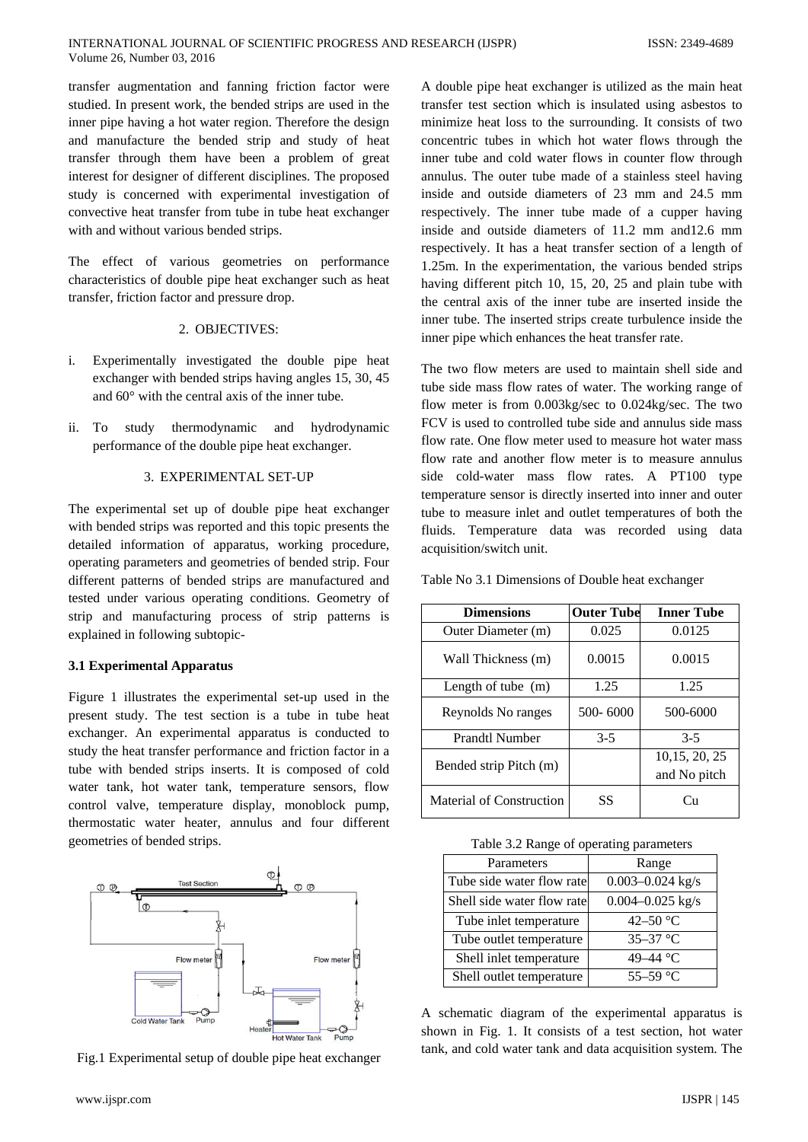transfer augmentation and fanning friction factor were studied. In present work, the bended strips are used in the inner pipe having a hot water region. Therefore the design and manufacture the bended strip and study of heat transfer through them have been a problem of great interest for designer of different disciplines. The proposed study is concerned with experimental investigation of convective heat transfer from tube in tube heat exchanger with and without various bended strips.

The effect of various geometries on performance characteristics of double pipe heat exchanger such as heat transfer, friction factor and pressure drop.

#### 2. OBJECTIVES:

- i. Experimentally investigated the double pipe heat exchanger with bended strips having angles 15, 30, 45 and 60° with the central axis of the inner tube.
- ii. To study thermodynamic and hydrodynamic performance of the double pipe heat exchanger.

## 3. EXPERIMENTAL SET-UP

The experimental set up of double pipe heat exchanger with bended strips was reported and this topic presents the detailed information of apparatus, working procedure, operating parameters and geometries of bended strip. Four different patterns of bended strips are manufactured and tested under various operating conditions. Geometry of strip and manufacturing process of strip patterns is explained in following subtopic-

#### **3.1 Experimental Apparatus**

Figure 1 illustrates the experimental set-up used in the present study. The test section is a tube in tube heat exchanger. An experimental apparatus is conducted to study the heat transfer performance and friction factor in a tube with bended strips inserts. It is composed of cold water tank, hot water tank, temperature sensors, flow control valve, temperature display, monoblock pump, thermostatic water heater, annulus and four different geometries of bended strips.



Fig.1 Experimental setup of double pipe heat exchanger

A double pipe heat exchanger is utilized as the main heat transfer test section which is insulated using asbestos to minimize heat loss to the surrounding. It consists of two concentric tubes in which hot water flows through the inner tube and cold water flows in counter flow through annulus. The outer tube made of a stainless steel having inside and outside diameters of 23 mm and 24.5 mm respectively. The inner tube made of a cupper having inside and outside diameters of 11.2 mm and12.6 mm respectively. It has a heat transfer section of a length of 1.25m. In the experimentation, the various bended strips having different pitch 10, 15, 20, 25 and plain tube with the central axis of the inner tube are inserted inside the inner tube. The inserted strips create turbulence inside the inner pipe which enhances the heat transfer rate.

The two flow meters are used to maintain shell side and tube side mass flow rates of water. The working range of flow meter is from 0.003kg/sec to 0.024kg/sec. The two FCV is used to controlled tube side and annulus side mass flow rate. One flow meter used to measure hot water mass flow rate and another flow meter is to measure annulus side cold-water mass flow rates. A PT100 type temperature sensor is directly inserted into inner and outer tube to measure inlet and outlet temperatures of both the fluids. Temperature data was recorded using data acquisition/switch unit.

Table No 3.1 Dimensions of Double heat exchanger

| <b>Dimensions</b>        | <b>Outer Tube</b> | <b>Inner Tube</b>              |
|--------------------------|-------------------|--------------------------------|
| Outer Diameter (m)       | 0.025             | 0.0125                         |
| Wall Thickness (m)       | 0.0015            | 0.0015                         |
| Length of tube $(m)$     | 1.25              | 1.25                           |
| Reynolds No ranges       | $500 - 6000$      | 500-6000                       |
| Prandtl Number           | $3-5$             | $3 - 5$                        |
| Bended strip Pitch (m)   |                   | 10, 15, 20, 25<br>and No pitch |
| Material of Construction | SS                | Cп                             |

Table 3.2 Range of operating parameters

| Parameters                 | Range                |
|----------------------------|----------------------|
| Tube side water flow rate  | $0.003 - 0.024$ kg/s |
| Shell side water flow rate | $0.004 - 0.025$ kg/s |
| Tube inlet temperature     | 42–50 $\,^{\circ}$ C |
| Tube outlet temperature    | $35 - 37$ °C         |
| Shell inlet temperature    | 49-44 °C             |
| Shell outlet temperature   | 55-59 °C             |

A schematic diagram of the experimental apparatus is shown in Fig. 1. It consists of a test section, hot water tank, and cold water tank and data acquisition system. The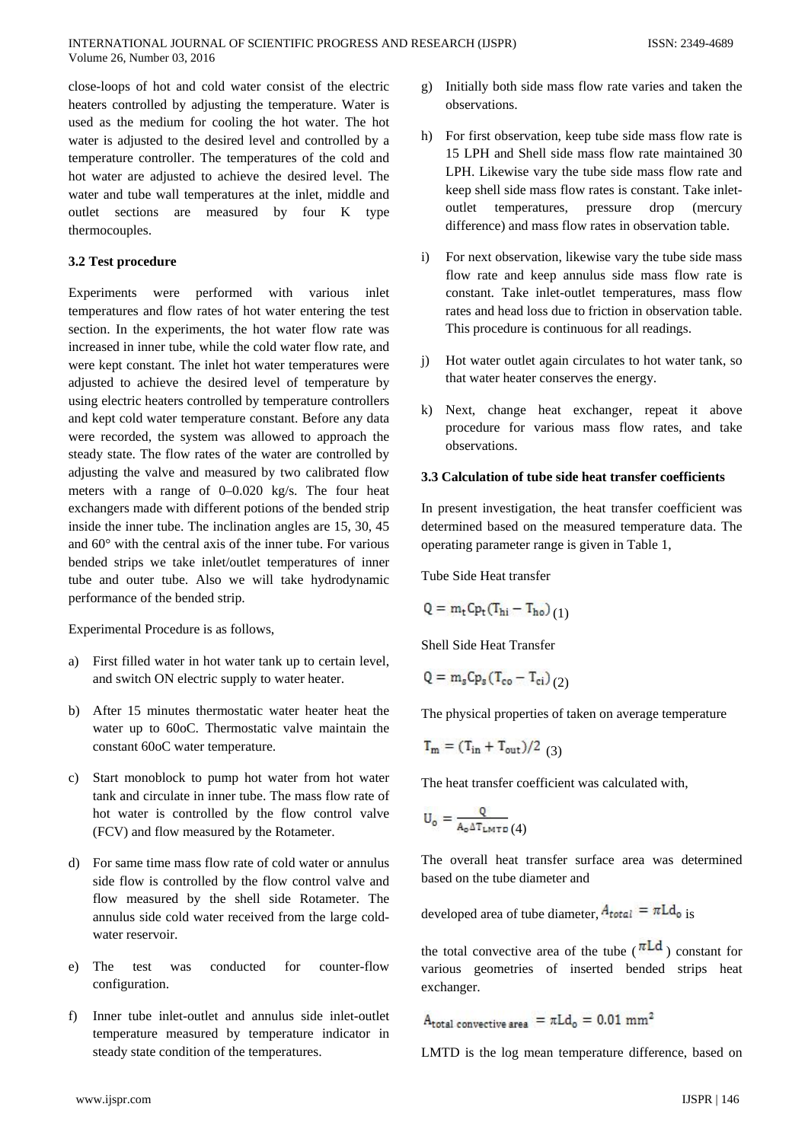close-loops of hot and cold water consist of the electric heaters controlled by adjusting the temperature. Water is used as the medium for cooling the hot water. The hot water is adjusted to the desired level and controlled by a temperature controller. The temperatures of the cold and hot water are adjusted to achieve the desired level. The water and tube wall temperatures at the inlet, middle and outlet sections are measured by four K type thermocouples.

#### **3.2 Test procedure**

Experiments were performed with various inlet temperatures and flow rates of hot water entering the test section. In the experiments, the hot water flow rate was increased in inner tube, while the cold water flow rate, and were kept constant. The inlet hot water temperatures were adjusted to achieve the desired level of temperature by using electric heaters controlled by temperature controllers and kept cold water temperature constant. Before any data were recorded, the system was allowed to approach the steady state. The flow rates of the water are controlled by adjusting the valve and measured by two calibrated flow meters with a range of 0–0.020 kg/s. The four heat exchangers made with different potions of the bended strip inside the inner tube. The inclination angles are 15, 30, 45 and 60° with the central axis of the inner tube. For various bended strips we take inlet/outlet temperatures of inner tube and outer tube. Also we will take hydrodynamic performance of the bended strip.

Experimental Procedure is as follows,

- a) First filled water in hot water tank up to certain level, and switch ON electric supply to water heater.
- b) After 15 minutes thermostatic water heater heat the water up to 60oC. Thermostatic valve maintain the constant 60oC water temperature.
- c) Start monoblock to pump hot water from hot water tank and circulate in inner tube. The mass flow rate of hot water is controlled by the flow control valve (FCV) and flow measured by the Rotameter.
- d) For same time mass flow rate of cold water or annulus side flow is controlled by the flow control valve and flow measured by the shell side Rotameter. The annulus side cold water received from the large coldwater reservoir.
- e) The test was conducted for counter-flow configuration.
- f) Inner tube inlet-outlet and annulus side inlet-outlet temperature measured by temperature indicator in steady state condition of the temperatures.
- g) Initially both side mass flow rate varies and taken the observations.
- h) For first observation, keep tube side mass flow rate is 15 LPH and Shell side mass flow rate maintained 30 LPH. Likewise vary the tube side mass flow rate and keep shell side mass flow rates is constant. Take inletoutlet temperatures, pressure drop (mercury difference) and mass flow rates in observation table.
- i) For next observation, likewise vary the tube side mass flow rate and keep annulus side mass flow rate is constant. Take inlet-outlet temperatures, mass flow rates and head loss due to friction in observation table. This procedure is continuous for all readings.
- j) Hot water outlet again circulates to hot water tank, so that water heater conserves the energy.
- k) Next, change heat exchanger, repeat it above procedure for various mass flow rates, and take observations.

#### **3.3 Calculation of tube side heat transfer coefficients**

In present investigation, the heat transfer coefficient was determined based on the measured temperature data. The operating parameter range is given in Table 1,

Tube Side Heat transfer

$$
Q = m_t C p_t (T_{hi} - T_{ho})
$$
 (1)

Shell Side Heat Transfer

$$
Q = m_s C p_s (T_{co} - T_{ci})_{(2)}
$$

The physical properties of taken on average temperature

$$
T_m = (T_{in} + T_{out})/2
$$
 (3)

The heat transfer coefficient was calculated with,

$$
\mathbf{U}_{\mathsf{o}} = \frac{\mathsf{Q}}{\mathsf{A}_{\mathsf{o}} \Delta \mathsf{T}_{\mathsf{LMTD}}(4)}
$$

The overall heat transfer surface area was determined based on the tube diameter and

developed area of tube diameter,  $A_{total} = \pi L d_0$  is

the total convective area of the tube ( $\pi Ld$ ) constant for various geometries of inserted bended strips heat exchanger.

 $\text{A}_{\text{total convective area}}\,=\pi \text{Ld}_{\text{o}}\,=\,0.01\,\,\text{mm}^2$ 

LMTD is the log mean temperature difference, based on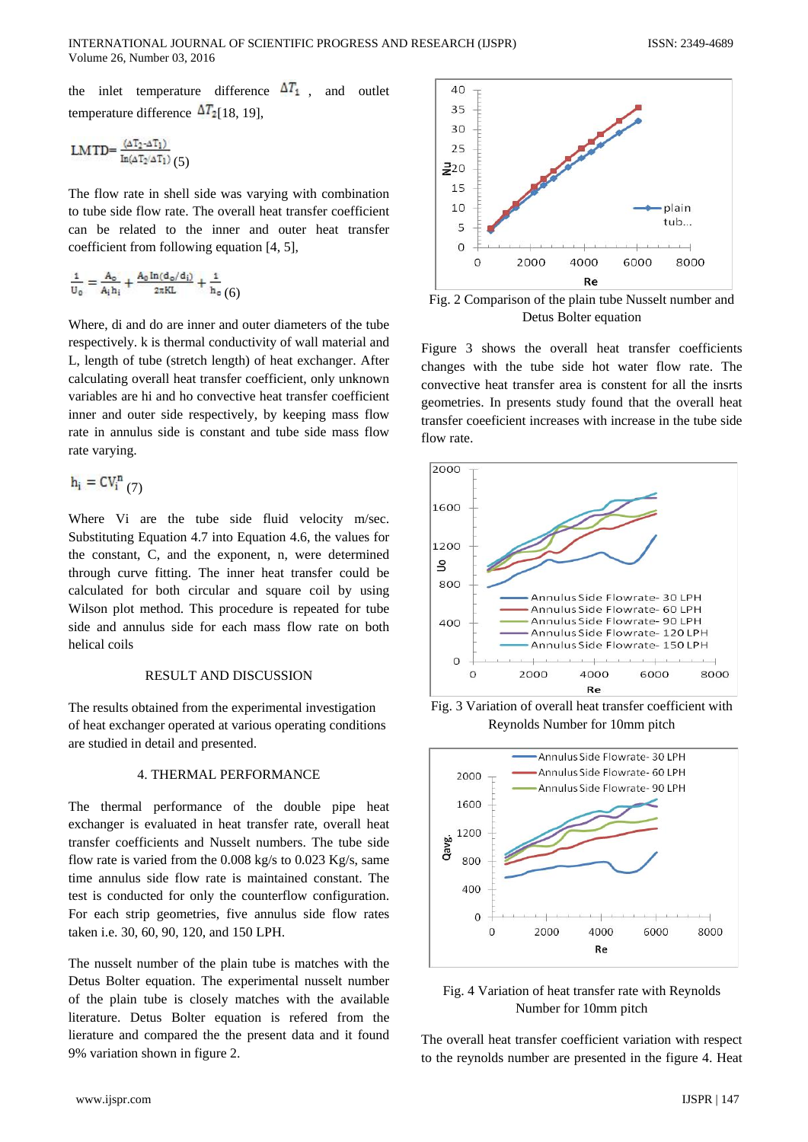the inlet temperature difference  $\Delta T_1$ , and outlet temperature difference  $\Delta T_2$  [18, 19],

$$
LMTD = \frac{(\Delta T_2 - \Delta T_1)}{In(\Delta T_2/\Delta T_1)}(5)
$$

The flow rate in shell side was varying with combination to tube side flow rate. The overall heat transfer coefficient can be related to the inner and outer heat transfer coefficient from following equation [4, 5],

$$
\frac{1}{U_0} = \frac{A_0}{A_i h_i} + \frac{A_0 \ln(d_0/d_i)}{2\pi KL} + \frac{1}{h_0} (6)
$$

Where, di and do are inner and outer diameters of the tube respectively. k is thermal conductivity of wall material and L, length of tube (stretch length) of heat exchanger. After calculating overall heat transfer coefficient, only unknown variables are hi and ho convective heat transfer coefficient inner and outer side respectively, by keeping mass flow rate in annulus side is constant and tube side mass flow rate varying.

$$
\mathbf{h_i} = \mathsf{CV_i}^{\mathsf{n}}\left(7\right)
$$

Where Vi are the tube side fluid velocity m/sec. Substituting Equation 4.7 into Equation 4.6, the values for the constant, C, and the exponent, n, were determined through curve fitting. The inner heat transfer could be calculated for both circular and square coil by using Wilson plot method. This procedure is repeated for tube side and annulus side for each mass flow rate on both helical coils

# RESULT AND DISCUSSION

The results obtained from the experimental investigation of heat exchanger operated at various operating conditions are studied in detail and presented.

## 4. THERMAL PERFORMANCE

The thermal performance of the double pipe heat exchanger is evaluated in heat transfer rate, overall heat transfer coefficients and Nusselt numbers. The tube side flow rate is varied from the 0.008 kg/s to 0.023 Kg/s, same time annulus side flow rate is maintained constant. The test is conducted for only the counterflow configuration. For each strip geometries, five annulus side flow rates taken i.e. 30, 60, 90, 120, and 150 LPH.

The nusselt number of the plain tube is matches with the Detus Bolter equation. The experimental nusselt number of the plain tube is closely matches with the available literature. Detus Bolter equation is refered from the lierature and compared the the present data and it found 9% variation shown in figure 2.



Fig. 2 Comparison of the plain tube Nusselt number and Detus Bolter equation

Figure 3 shows the overall heat transfer coefficients changes with the tube side hot water flow rate. The convective heat transfer area is constent for all the insrts geometries. In presents study found that the overall heat transfer coeeficient increases with increase in the tube side flow rate.



Fig. 3 Variation of overall heat transfer coefficient with Reynolds Number for 10mm pitch



Fig. 4 Variation of heat transfer rate with Reynolds Number for 10mm pitch

The overall heat transfer coefficient variation with respect to the reynolds number are presented in the figure 4. Heat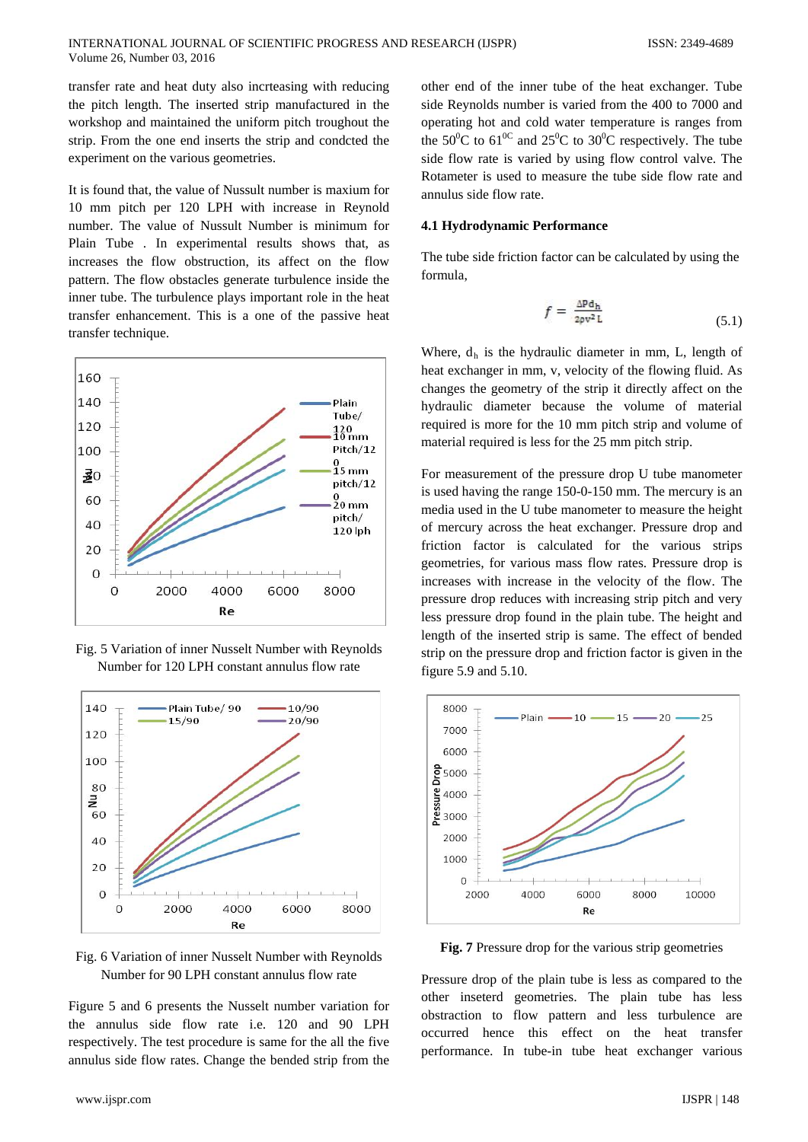transfer rate and heat duty also incrteasing with reducing the pitch length. The inserted strip manufactured in the workshop and maintained the uniform pitch troughout the strip. From the one end inserts the strip and condcted the experiment on the various geometries.

It is found that, the value of Nussult number is maxium for 10 mm pitch per 120 LPH with increase in Reynold number. The value of Nussult Number is minimum for Plain Tube . In experimental results shows that, as increases the flow obstruction, its affect on the flow pattern. The flow obstacles generate turbulence inside the inner tube. The turbulence plays important role in the heat transfer enhancement. This is a one of the passive heat transfer technique.



Fig. 5 Variation of inner Nusselt Number with Reynolds Number for 120 LPH constant annulus flow rate



Fig. 6 Variation of inner Nusselt Number with Reynolds Number for 90 LPH constant annulus flow rate

Figure 5 and 6 presents the Nusselt number variation for the annulus side flow rate i.e. 120 and 90 LPH respectively. The test procedure is same for the all the five annulus side flow rates. Change the bended strip from the

other end of the inner tube of the heat exchanger. Tube side Reynolds number is varied from the 400 to 7000 and operating hot and cold water temperature is ranges from the 50<sup>o</sup>C to 61<sup>oC</sup> and 25<sup>o</sup>C to 30<sup>o</sup>C respectively. The tube side flow rate is varied by using flow control valve. The Rotameter is used to measure the tube side flow rate and annulus side flow rate.

#### **4.1 Hydrodynamic Performance**

The tube side friction factor can be calculated by using the formula,

$$
f = \frac{\Delta \mathbf{P} \mathbf{d}_{\mathbf{h}}}{2\rho v^2 \mathbf{L}} \tag{5.1}
$$

Where,  $d_h$  is the hydraulic diameter in mm, L, length of heat exchanger in mm, v, velocity of the flowing fluid. As changes the geometry of the strip it directly affect on the hydraulic diameter because the volume of material required is more for the 10 mm pitch strip and volume of material required is less for the 25 mm pitch strip.

For measurement of the pressure drop U tube manometer is used having the range 150-0-150 mm. The mercury is an media used in the U tube manometer to measure the height of mercury across the heat exchanger. Pressure drop and friction factor is calculated for the various strips geometries, for various mass flow rates. Pressure drop is increases with increase in the velocity of the flow. The pressure drop reduces with increasing strip pitch and very less pressure drop found in the plain tube. The height and length of the inserted strip is same. The effect of bended strip on the pressure drop and friction factor is given in the figure 5.9 and 5.10.



**Fig. 7** Pressure drop for the various strip geometries

Pressure drop of the plain tube is less as compared to the other inseterd geometries. The plain tube has less obstraction to flow pattern and less turbulence are occurred hence this effect on the heat transfer performance. In tube-in tube heat exchanger various